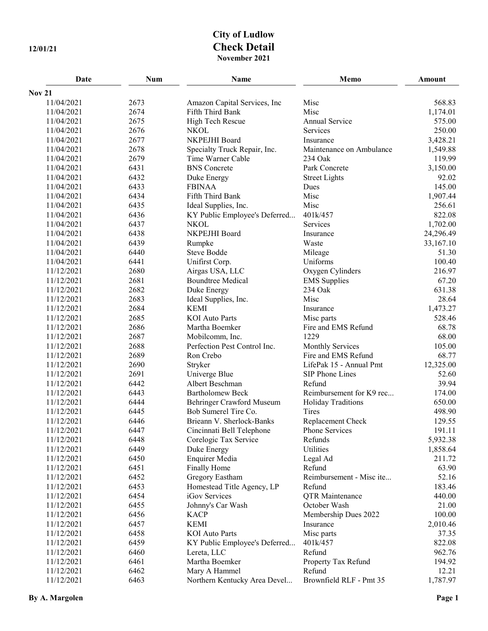## **City of Ludlow 12/01/21 Check Detail November 2021**

| Date                     | Num          | Name                             | Memo                              | Amount          |
|--------------------------|--------------|----------------------------------|-----------------------------------|-----------------|
| <b>Nov 21</b>            |              |                                  |                                   |                 |
| 11/04/2021               | 2673         | Amazon Capital Services, Inc     | Misc                              | 568.83          |
| 11/04/2021               | 2674         | Fifth Third Bank                 | Misc                              | 1,174.01        |
| 11/04/2021               | 2675         | High Tech Rescue                 | Annual Service                    | 575.00          |
| 11/04/2021               | 2676         | <b>NKOL</b>                      | <b>Services</b>                   | 250.00          |
| 11/04/2021               | 2677         | NKPEJHI Board                    | Insurance                         | 3,428.21        |
| 11/04/2021               | 2678         | Specialty Truck Repair, Inc.     | Maintenance on Ambulance          | 1,549.88        |
| 11/04/2021               | 2679         | Time Warner Cable                | 234 Oak                           | 119.99          |
| 11/04/2021               | 6431         | <b>BNS</b> Concrete              | Park Concrete                     | 3,150.00        |
| 11/04/2021               | 6432         | Duke Energy                      | <b>Street Lights</b>              | 92.02           |
| 11/04/2021               | 6433         | <b>FBINAA</b>                    | Dues                              | 145.00          |
| 11/04/2021               | 6434         | Fifth Third Bank                 | Misc                              | 1,907.44        |
| 11/04/2021               | 6435         | Ideal Supplies, Inc.             | Misc                              | 256.61          |
| 11/04/2021               | 6436         | KY Public Employee's Deferred    | 401k/457                          | 822.08          |
| 11/04/2021               | 6437         | <b>NKOL</b>                      | Services                          | 1,702.00        |
| 11/04/2021               | 6438         | NKPEJHI Board                    | Insurance                         | 24,296.49       |
| 11/04/2021               | 6439         | Rumpke                           | Waste                             | 33,167.10       |
| 11/04/2021               | 6440         | Steve Bodde                      | Mileage                           | 51.30           |
| 11/04/2021               | 6441         | Unifirst Corp.                   | Uniforms                          | 100.40          |
| 11/12/2021               | 2680         | Airgas USA, LLC                  | Oxygen Cylinders                  | 216.97          |
| 11/12/2021               | 2681         | <b>Boundtree Medical</b>         | <b>EMS</b> Supplies               | 67.20           |
| 11/12/2021               | 2682         | Duke Energy                      | 234 Oak                           | 631.38          |
| 11/12/2021               | 2683         | Ideal Supplies, Inc.             | Misc                              | 28.64           |
| 11/12/2021               | 2684         | <b>KEMI</b>                      | Insurance                         | 1,473.27        |
| 11/12/2021               | 2685         | <b>KOI</b> Auto Parts            | Misc parts                        | 528.46          |
| 11/12/2021               | 2686         | Martha Boemker                   | Fire and EMS Refund               | 68.78           |
| 11/12/2021               | 2687         | Mobilcomm, Inc.                  | 1229                              | 68.00           |
| 11/12/2021               | 2688         | Perfection Pest Control Inc.     | <b>Monthly Services</b>           | 105.00          |
| 11/12/2021               | 2689         | Ron Crebo                        | Fire and EMS Refund               | 68.77           |
| 11/12/2021               | 2690         | Stryker                          | LifePak 15 - Annual Pmt           | 12,325.00       |
| 11/12/2021               | 2691         | Univerge Blue                    | SIP Phone Lines                   | 52.60           |
| 11/12/2021               | 6442         | Albert Beschman                  | Refund                            | 39.94           |
| 11/12/2021               | 6443         | <b>Bartholomew Beck</b>          | Reimbursement for K9 rec          | 174.00          |
| 11/12/2021               | 6444         | Behringer Crawford Museum        | <b>Holiday Traditions</b>         | 650.00          |
| 11/12/2021               | 6445         | Bob Sumerel Tire Co.             | Tires                             | 498.90          |
| 11/12/2021               | 6446         | Brieann V. Sherlock-Banks        | Replacement Check                 | 129.55          |
| 11/12/2021               | 6447         | Cincinnati Bell Telephone        | Phone Services                    | 191.11          |
| 11/12/2021               | 6448         | Corelogic Tax Service            | Refunds                           | 5,932.38        |
| 11/12/2021               | 6449         | Duke Energy                      | Utilities                         | 1,858.64        |
| 11/12/2021               | 6450         | <b>Enquirer Media</b>            | Legal Ad                          | 211.72          |
| 11/12/2021               | 6451         | Finally Home                     | Refund                            | 63.90           |
| 11/12/2021               | 6452         | Gregory Eastham                  | Reimbursement - Misc ite          | 52.16           |
| 11/12/2021               | 6453         | Homestead Title Agency, LP       | Refund                            | 183.46          |
| 11/12/2021               | 6454<br>6455 | iGov Services                    | <b>QTR</b> Maintenance            | 440.00<br>21.00 |
| 11/12/2021<br>11/12/2021 | 6456         | Johnny's Car Wash<br><b>KACP</b> | October Wash                      | 100.00          |
| 11/12/2021               | 6457         | <b>KEMI</b>                      | Membership Dues 2022<br>Insurance | 2,010.46        |
| 11/12/2021               | 6458         | <b>KOI</b> Auto Parts            | Misc parts                        | 37.35           |
| 11/12/2021               | 6459         | KY Public Employee's Deferred    | 401k/457                          | 822.08          |
| 11/12/2021               | 6460         | Lereta, LLC                      | Refund                            | 962.76          |
| 11/12/2021               | 6461         | Martha Boemker                   | Property Tax Refund               | 194.92          |
| 11/12/2021               | 6462         | Mary A Hammel                    | Refund                            | 12.21           |
| 11/12/2021               | 6463         | Northern Kentucky Area Devel     | Brownfield RLF - Pmt 35           | 1,787.97        |
|                          |              |                                  |                                   |                 |